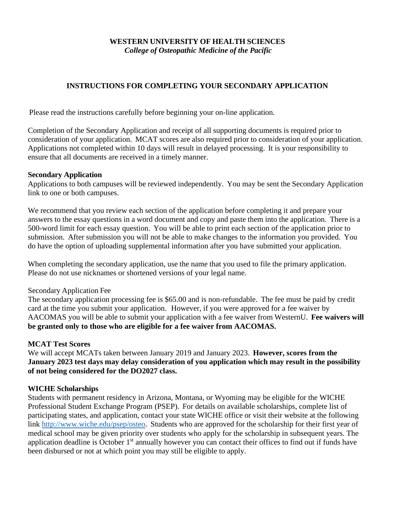## **WESTERN UNIVERSITY OF HEALTH SCIENCES** *College of Osteopathic Medicine of the Pacific*

# **INSTRUCTIONS FOR COMPLETING YOUR SECONDARY APPLICATION**

Please read the instructions carefully before beginning your on-line application.

Completion of the Secondary Application and receipt of all supporting documents is required prior to consideration of your application. MCAT scores are also required prior to consideration of your application. Applications not completed within 10 days will result in delayed processing. It is your responsibility to ensure that all documents are received in a timely manner.

#### **Secondary Application**

Applications to both campuses will be reviewed independently. You may be sent the Secondary Application link to one or both campuses.

We recommend that you review each section of the application before completing it and prepare your answers to the essay questions in a word document and copy and paste them into the application. There is a 500-word limit for each essay question. You will be able to print each section of the application prior to submission. After submission you will not be able to make changes to the information you provided. You do have the option of uploading supplemental information after you have submitted your application.

When completing the secondary application, use the name that you used to file the primary application. Please do not use nicknames or shortened versions of your legal name.

Secondary Application Fee

The secondary application processing fee is \$65.00 and is non-refundable. The fee must be paid by credit card at the time you submit your application. However, if you were approved for a fee waiver by AACOMAS you will be able to submit your application with a fee waiver from WesternU. **Fee waivers will be granted only to those who are eligible for a fee waiver from AACOMAS.**

#### **MCAT Test Scores**

We will accept MCATs taken between January 2019 and January 2023. **However, scores from the January 2023 test days may delay consideration of you application which may result in the possibility of not being considered for the DO2027 class.**

#### **WICHE Scholarships**

Students with permanent residency in Arizona, Montana, or Wyoming may be eligible for the WICHE Professional Student Exchange Program (PSEP). For details on available scholarships, complete list of participating states, and application, contact your state WICHE office or visit their website at the following link [http://www.wiche.edu/psep/osteo.](http://www.wiche.edu/psep/osteo) Students who are approved for the scholarship for their first year of medical school may be given priority over students who apply for the scholarship in subsequent years. The application deadline is October 1<sup>st</sup> annually however you can contact their offices to find out if funds have been disbursed or not at which point you may still be eligible to apply.